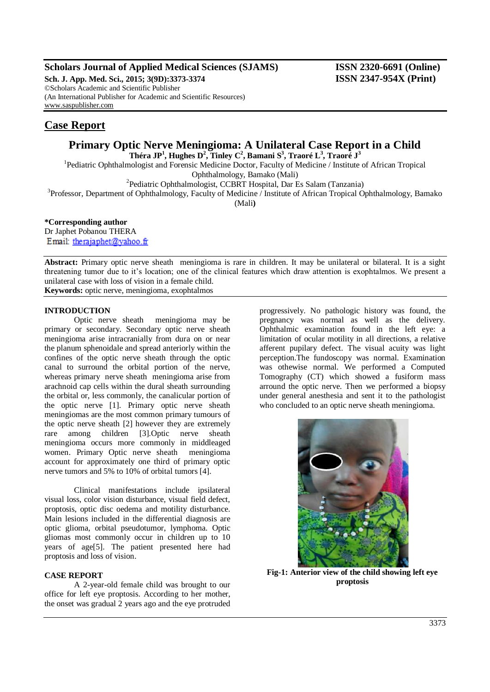### **Scholars Journal of Applied Medical Sciences (SJAMS) ISSN 2320-6691 (Online)**

**Sch. J. App. Med. Sci., 2015; 3(9D):3373-3374 ISSN 2347-954X (Print)** ©Scholars Academic and Scientific Publisher (An International Publisher for Academic and Scientific Resources) [www.saspublisher.com](http://www.saspublisher.com/)

## **Case Report**

# **Primary Optic Nerve Meningioma: A Unilateral Case Report in a Child**

**Théra JP<sup>1</sup> , Hughes D<sup>2</sup> , Tinley C<sup>2</sup> , Bamani S<sup>3</sup> , Traoré L<sup>3</sup> , Traoré J<sup>3</sup>**

<sup>1</sup>Pediatric Ophthalmologist and Forensic Medicine Doctor, Faculty of Medicine / Institute of African Tropical Ophthalmology, Bamako (Mali)

2 Pediatric Ophthalmologist, CCBRT Hospital, Dar Es Salam (Tanzania)

<sup>3</sup>Professor, Department of Ophthalmology, Faculty of Medicine / Institute of African Tropical Ophthalmology, Bamako

(Mali**)**

**\*Corresponding author** Dr Japhet Pobanou THERA Email: therajaphet@yahoo.fr

**Abstract:** Primary optic nerve sheath meningioma is rare in children. It may be unilateral or bilateral. It is a sight threatening tumor due to it's location; one of the clinical features which draw attention is exophtalmos. We present a unilateral case with loss of vision in a female child. **Keywords:** optic nerve, meningioma, exophtalmos

#### **INTRODUCTION**

Optic nerve sheath meningioma may be primary or secondary. Secondary optic nerve sheath meningioma arise intracranially from dura on or near the planum sphenoidale and spread anteriorly within the confines of the optic nerve sheath through the optic canal to surround the orbital portion of the nerve, whereas primary nerve sheath meningioma arise from arachnoid cap cells within the dural sheath surrounding the orbital or, less commonly, the canalicular portion of the optic nerve [1]. Primary optic nerve sheath meningiomas are the most common primary tumours of the optic nerve sheath [2] however they are extremely rare among children [3].Optic nerve sheath meningioma occurs more commonly in middleaged women. Primary Optic nerve sheath meningioma account for approximately one third of primary optic nerve tumors and 5% to 10% of orbital tumors [4].

Clinical manifestations include ipsilateral visual loss, color vision disturbance, visual field defect, proptosis, optic disc oedema and motility disturbance. Main lesions included in the differential diagnosis are optic glioma, orbital pseudotumor, lymphoma. Optic gliomas most commonly occur in children up to 10 years of age[5]. The patient presented here had proptosis and loss of vision.

#### **CASE REPORT**

A 2-year-old female child was brought to our office for left eye proptosis. According to her mother, the onset was gradual 2 years ago and the eye protruded

progressively. No pathologic history was found, the pregnancy was normal as well as the delivery. Ophthalmic examination found in the left eye: a limitation of ocular motility in all directions, a relative afferent pupilary defect. The visual acuity was light perception.The fundoscopy was normal. Examination was othewise normal. We performed a Computed Tomography (CT) which showed a fusiform mass arround the optic nerve. Then we performed a biopsy under general anesthesia and sent it to the pathologist who concluded to an optic nerve sheath meningioma.



**Fig-1: Anterior view of the child showing left eye proptosis**